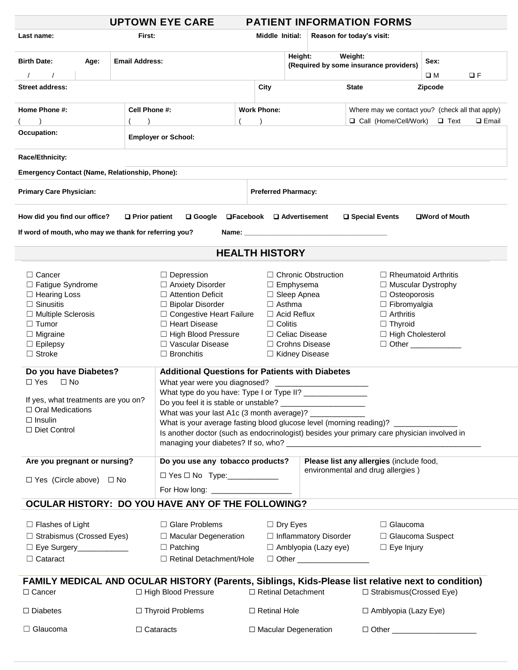|                                                                                                                                                                                                                                                                                        |                                                                                  |                                                                        | <b>UPTOWN EYE CARE</b>                                                                                                      |                              |                                                                   |                                                  |                                             | <b>PATIENT INFORMATION FORMS</b>                          |                             |          |  |
|----------------------------------------------------------------------------------------------------------------------------------------------------------------------------------------------------------------------------------------------------------------------------------------|----------------------------------------------------------------------------------|------------------------------------------------------------------------|-----------------------------------------------------------------------------------------------------------------------------|------------------------------|-------------------------------------------------------------------|--------------------------------------------------|---------------------------------------------|-----------------------------------------------------------|-----------------------------|----------|--|
| Last name:                                                                                                                                                                                                                                                                             |                                                                                  | First:                                                                 |                                                                                                                             |                              | Middle Initial:                                                   |                                                  |                                             | Reason for today's visit:                                 |                             |          |  |
| <b>Birth Date:</b><br>Age:                                                                                                                                                                                                                                                             |                                                                                  | <b>Email Address:</b>                                                  |                                                                                                                             |                              |                                                                   | Height:                                          |                                             | Weight:<br>(Required by some insurance providers)         | Sex:<br>O M                 | $\Box F$ |  |
| <b>Street address:</b>                                                                                                                                                                                                                                                                 |                                                                                  |                                                                        |                                                                                                                             |                              | City                                                              |                                                  |                                             | <b>State</b>                                              | Zipcode                     |          |  |
|                                                                                                                                                                                                                                                                                        |                                                                                  |                                                                        |                                                                                                                             |                              |                                                                   |                                                  |                                             |                                                           |                             |          |  |
| Home Phone #:                                                                                                                                                                                                                                                                          | <b>Work Phone:</b><br>Cell Phone #:                                              |                                                                        |                                                                                                                             |                              |                                                                   | Where may we contact you? (check all that apply) |                                             |                                                           |                             |          |  |
|                                                                                                                                                                                                                                                                                        |                                                                                  |                                                                        |                                                                                                                             |                              |                                                                   |                                                  |                                             | □ Call (Home/Cell/Work)<br>$\Box$ Text<br>$\square$ Email |                             |          |  |
| Occupation:                                                                                                                                                                                                                                                                            |                                                                                  |                                                                        |                                                                                                                             |                              |                                                                   |                                                  |                                             |                                                           |                             |          |  |
| Race/Ethnicity:                                                                                                                                                                                                                                                                        |                                                                                  |                                                                        |                                                                                                                             |                              |                                                                   |                                                  |                                             |                                                           |                             |          |  |
| <b>Emergency Contact (Name, Relationship, Phone):</b>                                                                                                                                                                                                                                  |                                                                                  |                                                                        |                                                                                                                             |                              |                                                                   |                                                  |                                             |                                                           |                             |          |  |
| <b>Primary Care Physician:</b>                                                                                                                                                                                                                                                         |                                                                                  | <b>Preferred Pharmacy:</b>                                             |                                                                                                                             |                              |                                                                   |                                                  |                                             |                                                           |                             |          |  |
| How did you find our office?                                                                                                                                                                                                                                                           |                                                                                  | $\Box$ Google $\Box$ Facebook $\Box$ Advertisement<br>□ Special Events |                                                                                                                             |                              |                                                                   | <b>□Word of Mouth</b>                            |                                             |                                                           |                             |          |  |
| If word of mouth, who may we thank for referring you?<br>Name: Web and the contract of the contract of the contract of the contract of the contract of the contract of the contract of the contract of the contract of the contract of the contract of the contract of the contract of |                                                                                  |                                                                        |                                                                                                                             |                              |                                                                   |                                                  |                                             |                                                           |                             |          |  |
| <b>HEALTH HISTORY</b>                                                                                                                                                                                                                                                                  |                                                                                  |                                                                        |                                                                                                                             |                              |                                                                   |                                                  |                                             |                                                           |                             |          |  |
| $\Box$ Cancer                                                                                                                                                                                                                                                                          |                                                                                  |                                                                        | $\Box$ Depression                                                                                                           |                              |                                                                   |                                                  | $\Box$ Chronic Obstruction                  |                                                           | $\Box$ Rheumatoid Arthritis |          |  |
| □ Fatigue Syndrome                                                                                                                                                                                                                                                                     |                                                                                  |                                                                        | □ Anxiety Disorder                                                                                                          | $\Box$ Emphysema             |                                                                   |                                                  | $\Box$ Muscular Dystrophy                   |                                                           |                             |          |  |
| $\Box$ Hearing Loss                                                                                                                                                                                                                                                                    |                                                                                  |                                                                        | $\Box$ Attention Deficit                                                                                                    | $\Box$ Sleep Apnea           |                                                                   |                                                  | $\Box$ Osteoporosis                         |                                                           |                             |          |  |
| $\Box$ Sinusitis                                                                                                                                                                                                                                                                       |                                                                                  |                                                                        | □ Bipolar Disorder                                                                                                          |                              |                                                                   | $\Box$ Asthma                                    |                                             |                                                           | $\Box$ Fibromyalgia         |          |  |
| $\Box$ Multiple Sclerosis                                                                                                                                                                                                                                                              |                                                                                  |                                                                        | □ Congestive Heart Failure                                                                                                  |                              |                                                                   | $\Box$ Acid Reflux                               |                                             | $\Box$ Arthritis                                          |                             |          |  |
| $\Box$ Tumor                                                                                                                                                                                                                                                                           |                                                                                  |                                                                        | □ Heart Disease                                                                                                             |                              |                                                                   | $\Box$ Colitis<br>$\Box$ Thyroid                 |                                             |                                                           |                             |          |  |
| $\Box$ Migraine                                                                                                                                                                                                                                                                        |                                                                                  |                                                                        | □ High Blood Pressure                                                                                                       |                              |                                                                   |                                                  | □ High Cholesterol<br>$\Box$ Celiac Disease |                                                           |                             |          |  |
| $\Box$ Epilepsy                                                                                                                                                                                                                                                                        |                                                                                  |                                                                        | □ Vascular Disease                                                                                                          |                              | $\Box$ Crohns Disease<br>□ Other ____________<br>□ Kidney Disease |                                                  |                                             |                                                           |                             |          |  |
| $\Box$ Stroke                                                                                                                                                                                                                                                                          |                                                                                  |                                                                        | $\Box$ Bronchitis                                                                                                           |                              |                                                                   |                                                  |                                             |                                                           |                             |          |  |
| Do you have Diabetes?                                                                                                                                                                                                                                                                  |                                                                                  |                                                                        | <b>Additional Questions for Patients with Diabetes</b>                                                                      |                              |                                                                   |                                                  |                                             |                                                           |                             |          |  |
| $\Box$ Yes<br>$\Box$ No                                                                                                                                                                                                                                                                |                                                                                  |                                                                        | What year were you diagnosed?                                                                                               |                              |                                                                   |                                                  |                                             |                                                           |                             |          |  |
|                                                                                                                                                                                                                                                                                        |                                                                                  |                                                                        | What type do you have: Type I or Type II?                                                                                   |                              |                                                                   |                                                  |                                             |                                                           |                             |          |  |
| If yes, what treatments are you on?                                                                                                                                                                                                                                                    |                                                                                  |                                                                        | Do you feel it is stable or unstable? _                                                                                     |                              |                                                                   |                                                  |                                             |                                                           |                             |          |  |
| $\Box$ Oral Medications                                                                                                                                                                                                                                                                |                                                                                  |                                                                        | What was your last A1c (3 month average)? __________                                                                        |                              |                                                                   |                                                  |                                             |                                                           |                             |          |  |
| $\Box$ Insulin<br>□ Diet Control                                                                                                                                                                                                                                                       | What is your average fasting blood glucose level (morning reading)? ____________ |                                                                        |                                                                                                                             |                              |                                                                   |                                                  |                                             |                                                           |                             |          |  |
|                                                                                                                                                                                                                                                                                        |                                                                                  |                                                                        | Is another doctor (such as endocrinologist) besides your primary care physician involved in                                 |                              |                                                                   |                                                  |                                             |                                                           |                             |          |  |
| Are you pregnant or nursing?                                                                                                                                                                                                                                                           |                                                                                  |                                                                        | Do you use any tobacco products?                                                                                            |                              |                                                                   |                                                  |                                             | Please list any allergies (include food,                  |                             |          |  |
| $\Box$ Yes (Circle above) $\Box$ No                                                                                                                                                                                                                                                    |                                                                                  | $\Box$ Yes $\Box$ No Type: _______________                             |                                                                                                                             |                              |                                                                   |                                                  | environmental and drug allergies)           |                                                           |                             |          |  |
|                                                                                                                                                                                                                                                                                        |                                                                                  | For How long: ______________________                                   |                                                                                                                             |                              |                                                                   |                                                  |                                             |                                                           |                             |          |  |
|                                                                                                                                                                                                                                                                                        |                                                                                  |                                                                        | OCULAR HISTORY: DO YOU HAVE ANY OF THE FOLLOWING?                                                                           |                              |                                                                   |                                                  |                                             |                                                           |                             |          |  |
| $\Box$ Flashes of Light                                                                                                                                                                                                                                                                |                                                                                  | □ Glare Problems                                                       |                                                                                                                             |                              | $\Box$ Dry Eyes                                                   |                                                  | $\Box$ Glaucoma                             |                                                           |                             |          |  |
| $\Box$ Strabismus (Crossed Eyes)                                                                                                                                                                                                                                                       |                                                                                  | $\Box$ Macular Degeneration                                            |                                                                                                                             | $\Box$ Inflammatory Disorder |                                                                   | □ Glaucoma Suspect                               |                                             |                                                           |                             |          |  |
| □ Eye Surgery_____________                                                                                                                                                                                                                                                             |                                                                                  | $\Box$ Patching                                                        | $\Box$ Amblyopia (Lazy eye)                                                                                                 |                              |                                                                   | $\Box$ Eye Injury                                |                                             |                                                           |                             |          |  |
| $\Box$ Cataract                                                                                                                                                                                                                                                                        |                                                                                  |                                                                        | □ Retinal Detachment/Hole                                                                                                   | □ Other ____________________ |                                                                   |                                                  |                                             |                                                           |                             |          |  |
|                                                                                                                                                                                                                                                                                        |                                                                                  |                                                                        |                                                                                                                             |                              |                                                                   |                                                  |                                             |                                                           |                             |          |  |
| $\Box$ Cancer                                                                                                                                                                                                                                                                          |                                                                                  |                                                                        | FAMILY MEDICAL AND OCULAR HISTORY (Parents, Siblings, Kids-Please list relative next to condition)<br>□ High Blood Pressure |                              | □ Retinal Detachment                                              |                                                  |                                             | $\Box$ Strabismus(Crossed Eye)                            |                             |          |  |
| $\Box$ Diabetes                                                                                                                                                                                                                                                                        |                                                                                  |                                                                        | □ Thyroid Problems                                                                                                          |                              | $\Box$ Retinal Hole                                               |                                                  |                                             | □ Amblyopia (Lazy Eye)                                    |                             |          |  |
| $\Box$ Glaucoma<br>$\Box$ Cataracts                                                                                                                                                                                                                                                    |                                                                                  |                                                                        |                                                                                                                             |                              | □ Macular Degeneration<br>$\Box$ Other $\Box$                     |                                                  |                                             |                                                           |                             |          |  |
|                                                                                                                                                                                                                                                                                        |                                                                                  |                                                                        |                                                                                                                             |                              |                                                                   |                                                  |                                             |                                                           |                             |          |  |